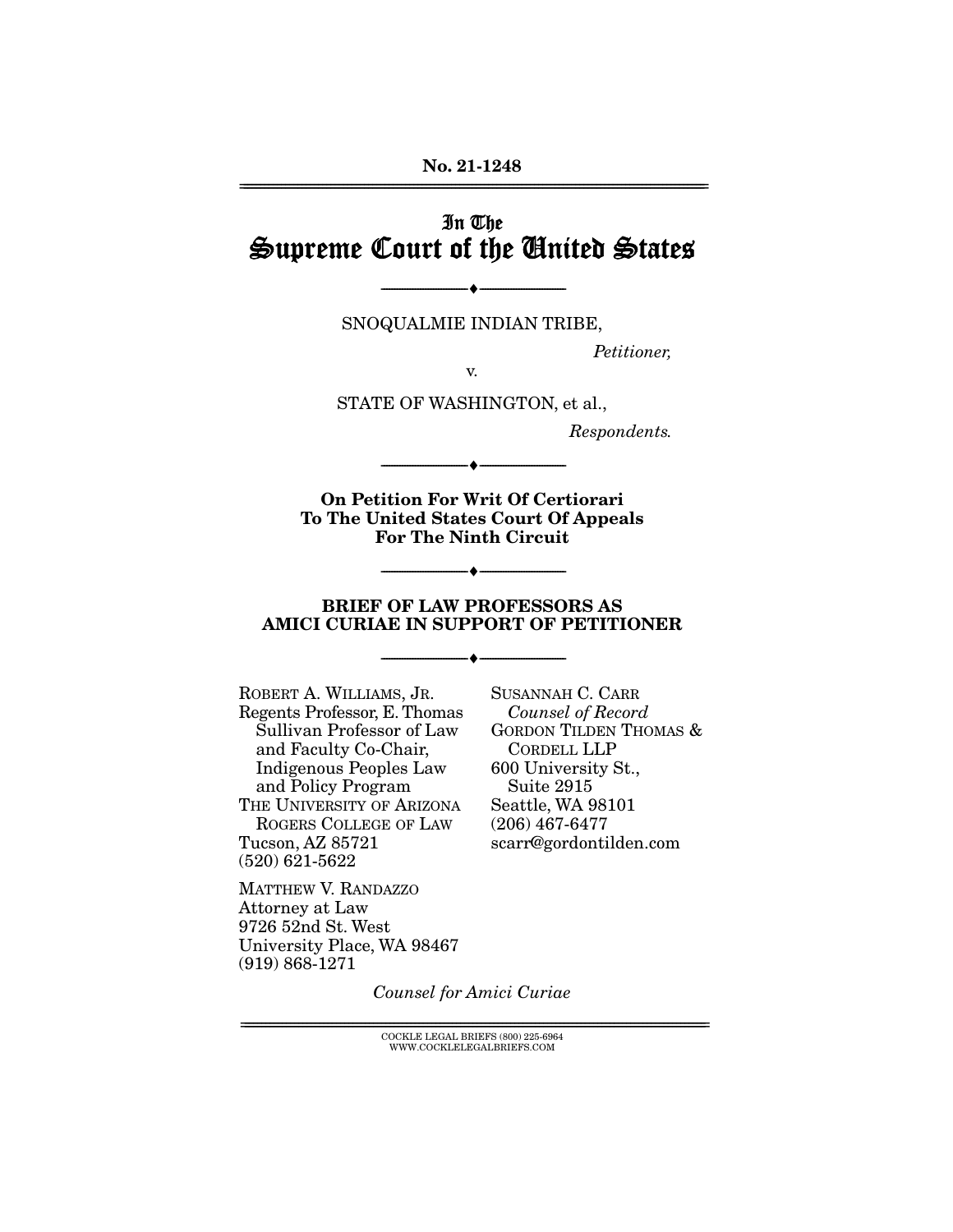# In The Supreme Court of the United States

SNOQUALMIE INDIAN TRIBE,

--------------------------------- ♦ ---------------------------------

Petitioner,

v.

STATE OF WASHINGTON, et al.,

Respondents.

**On Petition For Writ Of Certiorari To The United States Court Of Appeals For The Ninth Circuit** 

--------------------------------- ♦ ---------------------------------

#### **BRIEF OF LAW PROFESSORS AS AMICI CURIAE IN SUPPORT OF PETITIONER**

--------------------------------- ♦ ---------------------------------

--------------------------------- ♦ ---------------------------------

ROBERT A. WILLIAMS, JR. Regents Professor, E. Thomas Sullivan Professor of Law and Faculty Co-Chair, Indigenous Peoples Law and Policy Program THE UNIVERSITY OF ARIZONA ROGERS COLLEGE OF LAW Tucson, AZ 85721 (520) 621-5622

MATTHEW V. RANDAZZO Attorney at Law 9726 52nd St. West University Place, WA 98467 (919) 868-1271

SUSANNAH C. CARR Counsel of Record GORDON TILDEN THOMAS & CORDELL LLP 600 University St., Suite 2915 Seattle, WA 98101 (206) 467-6477 scarr@gordontilden.com

Counsel for Amici Curiae

 ${COCKLE}$  LEGAL BRIEFS (800) 225-6964 WWW.COCKLELEGALBRIEFS.COM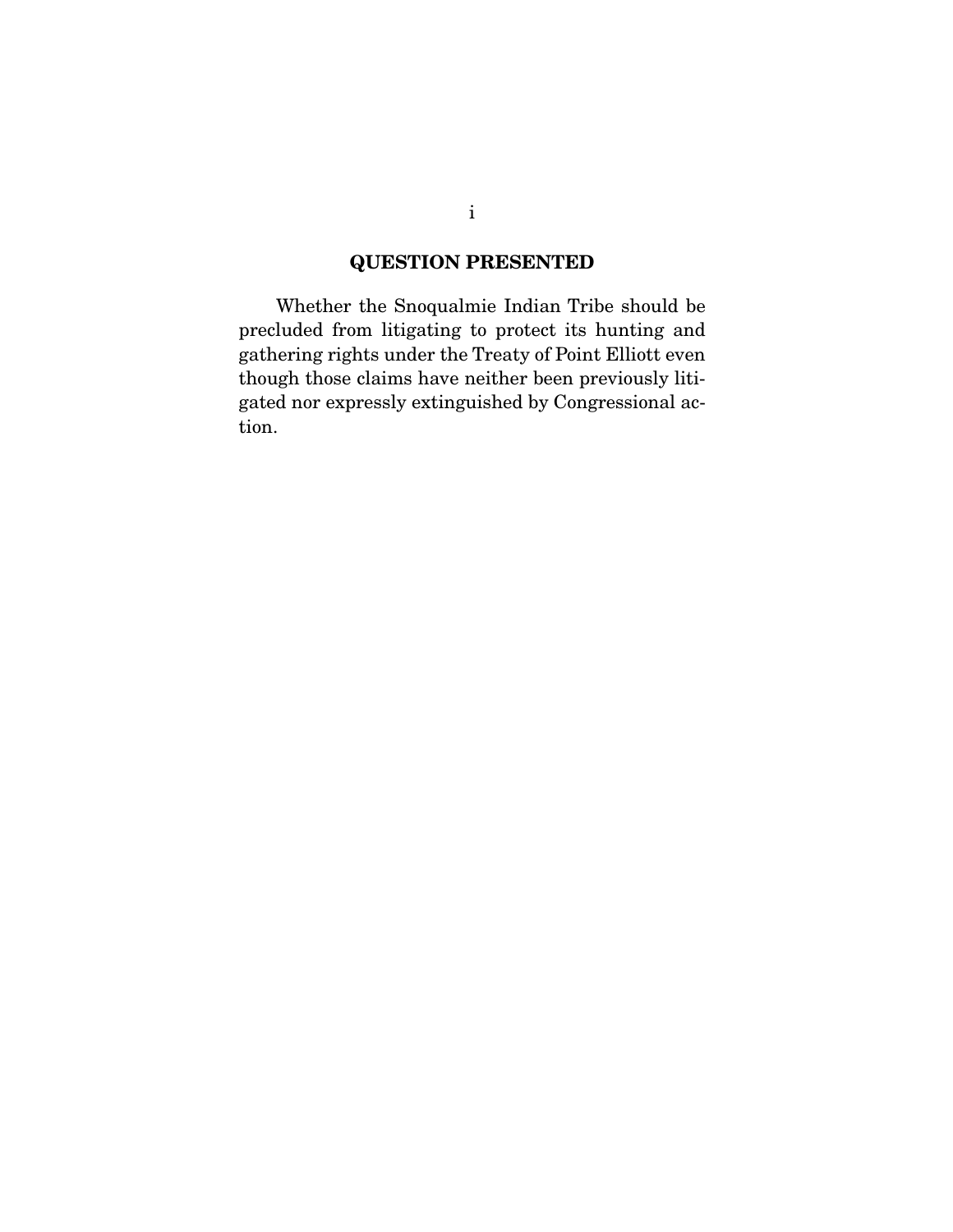### **QUESTION PRESENTED**

 Whether the Snoqualmie Indian Tribe should be precluded from litigating to protect its hunting and gathering rights under the Treaty of Point Elliott even though those claims have neither been previously litigated nor expressly extinguished by Congressional action.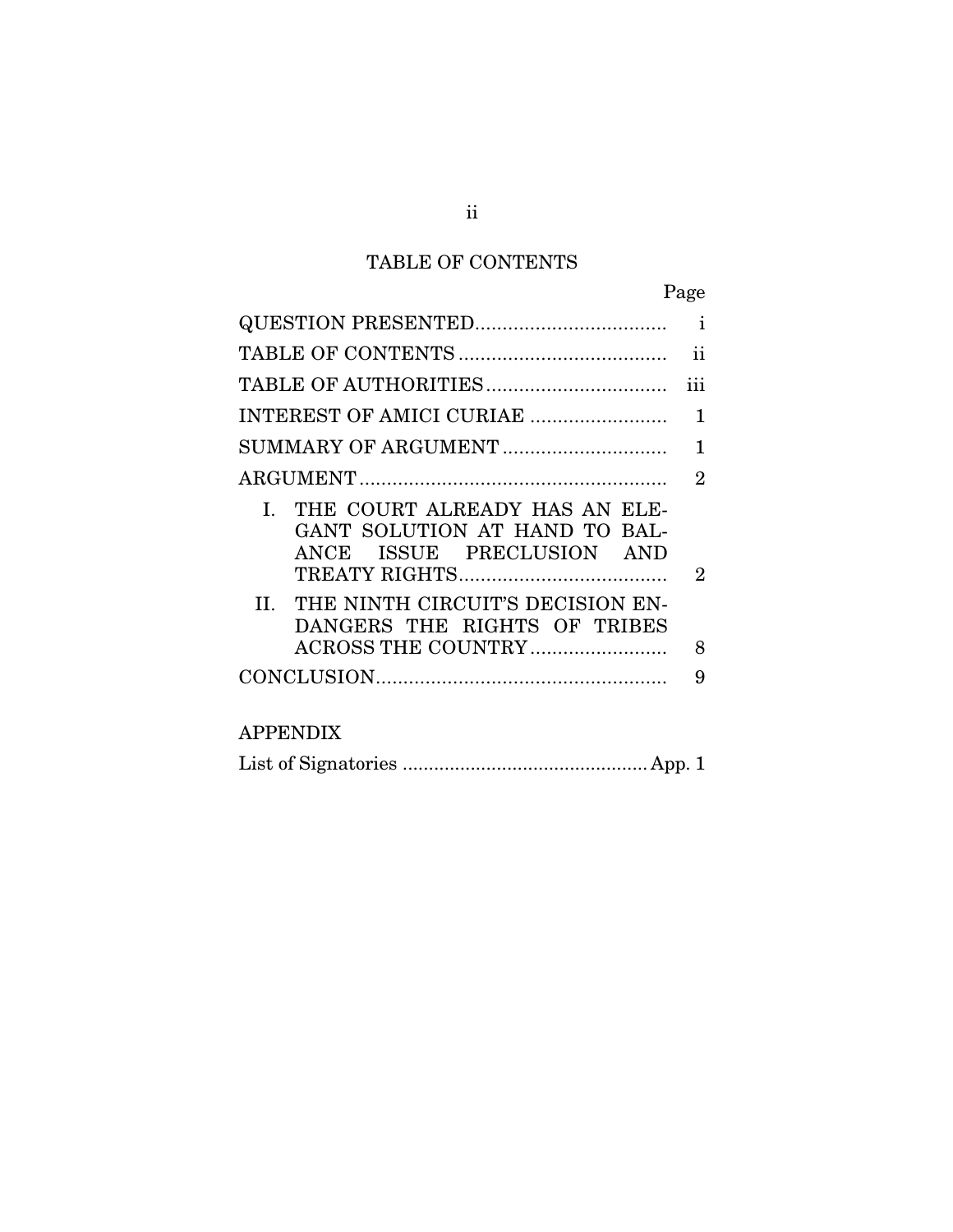# TABLE OF CONTENTS

|                                                                                                                                                                           | Page           |
|---------------------------------------------------------------------------------------------------------------------------------------------------------------------------|----------------|
|                                                                                                                                                                           |                |
|                                                                                                                                                                           | ii             |
|                                                                                                                                                                           | iii            |
| INTEREST OF AMICI CURIAE                                                                                                                                                  | 1              |
| SUMMARY OF ARGUMENT                                                                                                                                                       | 1              |
|                                                                                                                                                                           | $\overline{2}$ |
| I. THE COURT ALREADY HAS AN ELE-<br>GANT SOLUTION AT HAND TO BAL-<br>ISSUE PRECLUSION AND<br>ANCE<br>II. THE NINTH CIRCUIT'S DECISION EN-<br>DANGERS THE RIGHTS OF TRIBES | $\overline{2}$ |
|                                                                                                                                                                           | 8              |
|                                                                                                                                                                           | 9              |
| $\lambda$ DDENIDIV                                                                                                                                                        |                |

| APPENDIX |  |
|----------|--|
|          |  |

|--|--|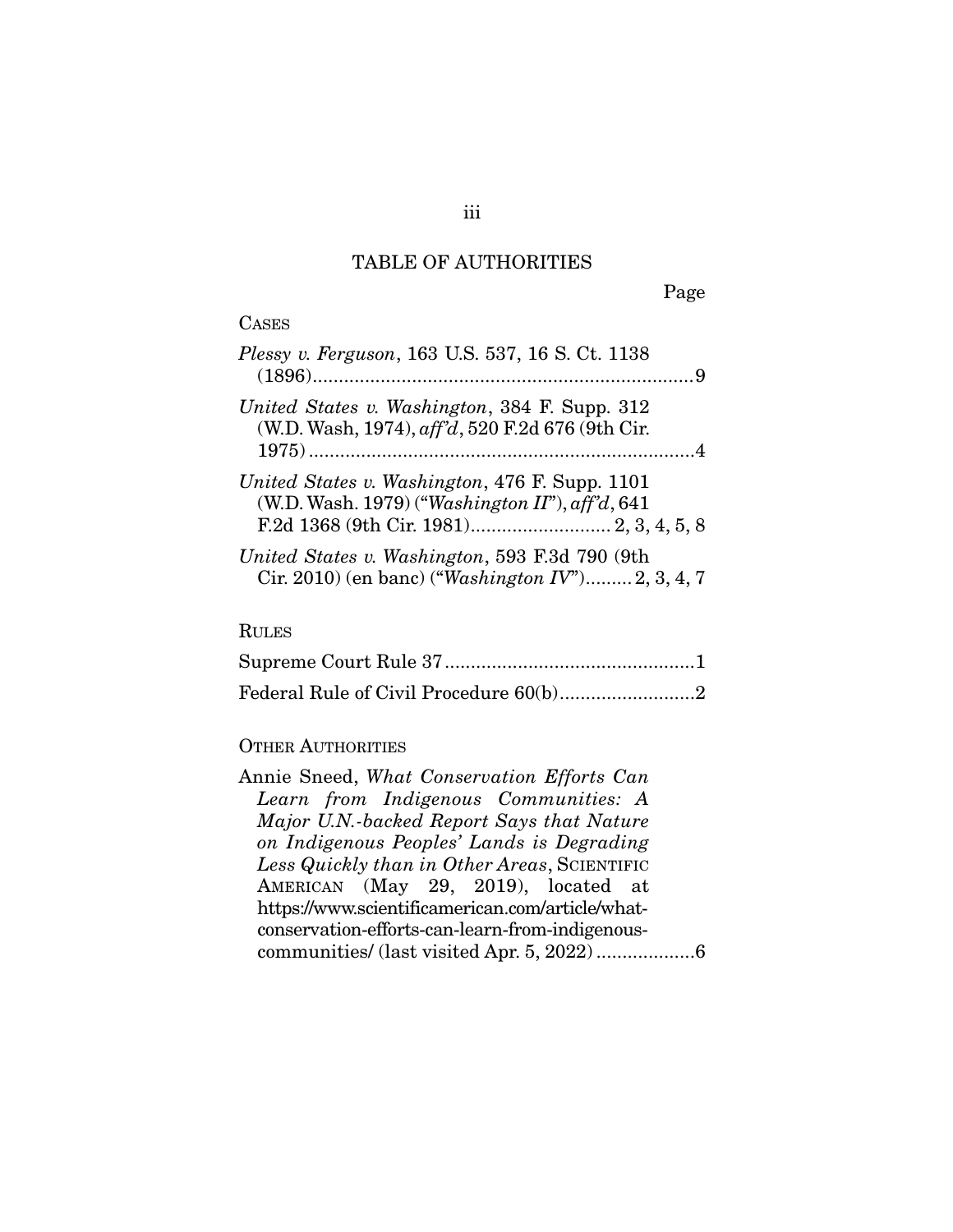# TABLE OF AUTHORITIES

Page

### CASES

| Plessy v. Ferguson, 163 U.S. 537, 16 S. Ct. 1138                                                            |  |
|-------------------------------------------------------------------------------------------------------------|--|
| United States v. Washington, 384 F. Supp. 312<br>(W.D. Wash, 1974), aff'd, 520 F.2d 676 (9th Cir.           |  |
| United States v. Washington, 476 F. Supp. 1101<br>(W.D. Wash. 1979) ("Washington II"), $\alpha f f d$ , 641 |  |
| United States v. Washington, 593 F.3d 790 (9th<br>Cir. 2010) (en banc) ("Washington $IV$ ") 2, 3, 4, 7      |  |

# RULES

### OTHER AUTHORITIES

| Annie Sneed, What Conservation Efforts Can       |
|--------------------------------------------------|
| Learn from Indigenous Communities: A             |
| Major U.N.-backed Report Says that Nature        |
| on Indigenous Peoples' Lands is Degrading        |
| Less Quickly than in Other Areas, SCIENTIFIC     |
| AMERICAN (May 29, 2019), located at              |
| https://www.scientificamerican.com/article/what- |
| conservation-efforts-can-learn-from-indigenous-  |
|                                                  |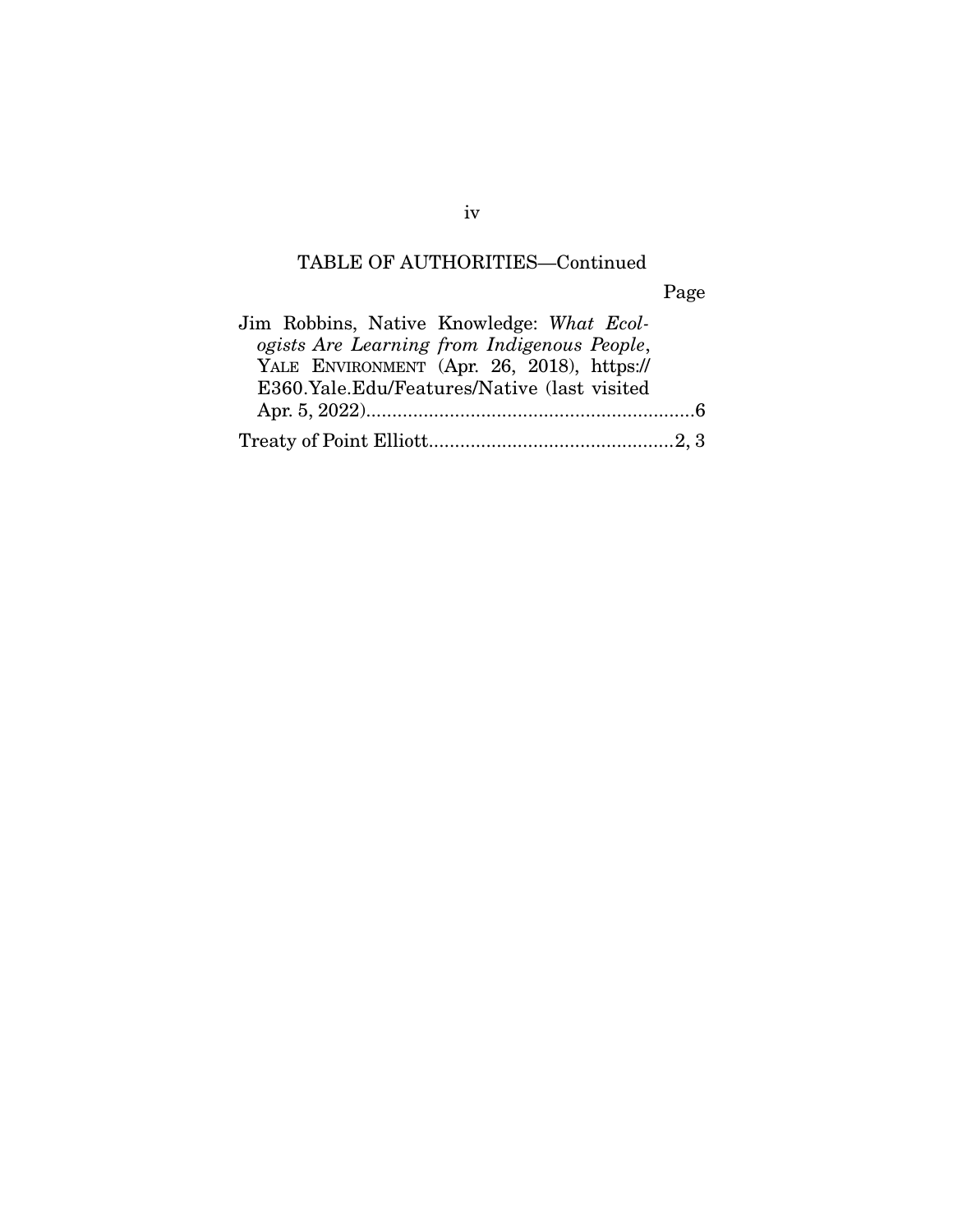# TABLE OF AUTHORITIES—Continued

Page

| Jim Robbins, Native Knowledge: What Ecol-   |  |
|---------------------------------------------|--|
| ogists Are Learning from Indigenous People, |  |
| YALE ENVIRONMENT (Apr. 26, 2018), https://  |  |
| E360.Yale.Edu/Features/Native (last visited |  |
|                                             |  |
|                                             |  |

iv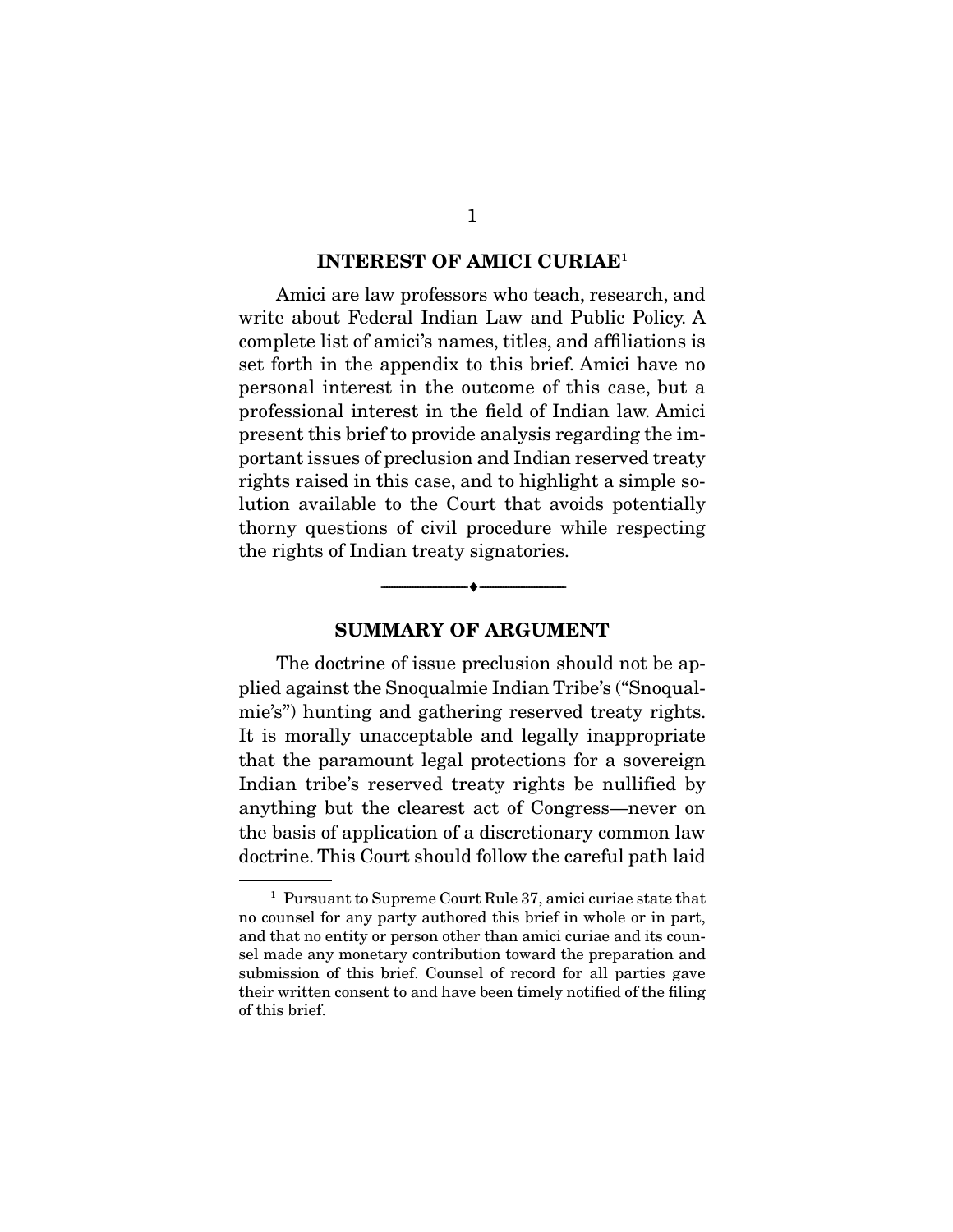#### **INTEREST OF AMICI CURIAE**<sup>1</sup>

 Amici are law professors who teach, research, and write about Federal Indian Law and Public Policy. A complete list of amici's names, titles, and affiliations is set forth in the appendix to this brief. Amici have no personal interest in the outcome of this case, but a professional interest in the field of Indian law. Amici present this brief to provide analysis regarding the important issues of preclusion and Indian reserved treaty rights raised in this case, and to highlight a simple solution available to the Court that avoids potentially thorny questions of civil procedure while respecting the rights of Indian treaty signatories.

#### **SUMMARY OF ARGUMENT**

--------------------------------- ♦ ---------------------------------

 The doctrine of issue preclusion should not be applied against the Snoqualmie Indian Tribe's ("Snoqualmie's") hunting and gathering reserved treaty rights. It is morally unacceptable and legally inappropriate that the paramount legal protections for a sovereign Indian tribe's reserved treaty rights be nullified by anything but the clearest act of Congress—never on the basis of application of a discretionary common law doctrine. This Court should follow the careful path laid

<sup>&</sup>lt;sup>1</sup> Pursuant to Supreme Court Rule 37, amici curiae state that no counsel for any party authored this brief in whole or in part, and that no entity or person other than amici curiae and its counsel made any monetary contribution toward the preparation and submission of this brief. Counsel of record for all parties gave their written consent to and have been timely notified of the filing of this brief.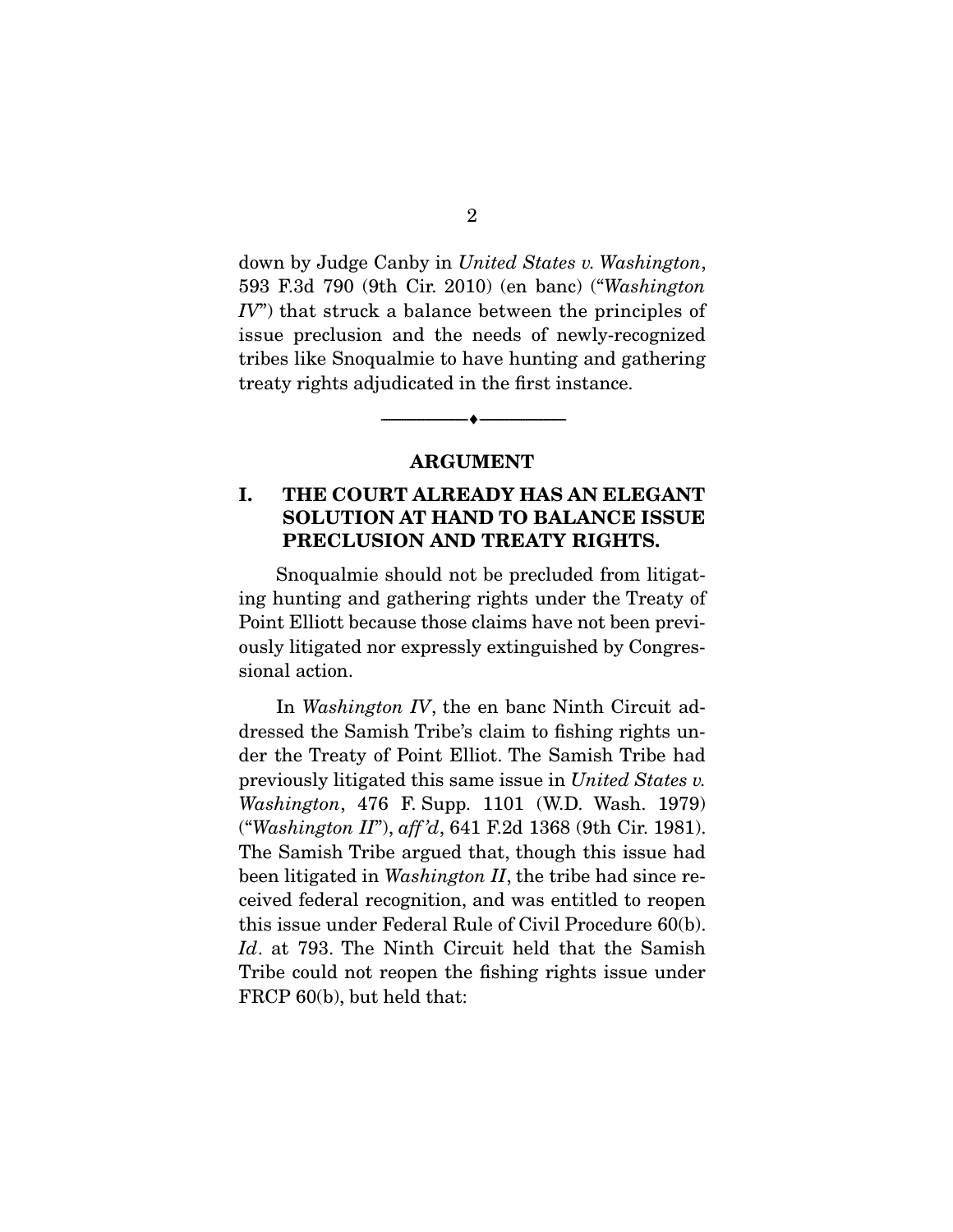down by Judge Canby in United States v. Washington, 593 F.3d 790 (9th Cir. 2010) (en banc) ("Washington  $IV$ ) that struck a balance between the principles of issue preclusion and the needs of newly-recognized tribes like Snoqualmie to have hunting and gathering treaty rights adjudicated in the first instance.

#### **ARGUMENT**

--------------------------------- ♦ ---------------------------------

### **I. THE COURT ALREADY HAS AN ELEGANT SOLUTION AT HAND TO BALANCE ISSUE PRECLUSION AND TREATY RIGHTS.**

 Snoqualmie should not be precluded from litigating hunting and gathering rights under the Treaty of Point Elliott because those claims have not been previously litigated nor expressly extinguished by Congressional action.

 In Washington IV, the en banc Ninth Circuit addressed the Samish Tribe's claim to fishing rights under the Treaty of Point Elliot. The Samish Tribe had previously litigated this same issue in United States v. Washington, 476 F. Supp. 1101 (W.D. Wash. 1979) ("Washington II"), aff 'd, 641 F.2d 1368 (9th Cir. 1981). The Samish Tribe argued that, though this issue had been litigated in *Washington II*, the tribe had since received federal recognition, and was entitled to reopen this issue under Federal Rule of Civil Procedure 60(b). Id. at 793. The Ninth Circuit held that the Samish Tribe could not reopen the fishing rights issue under FRCP 60(b), but held that: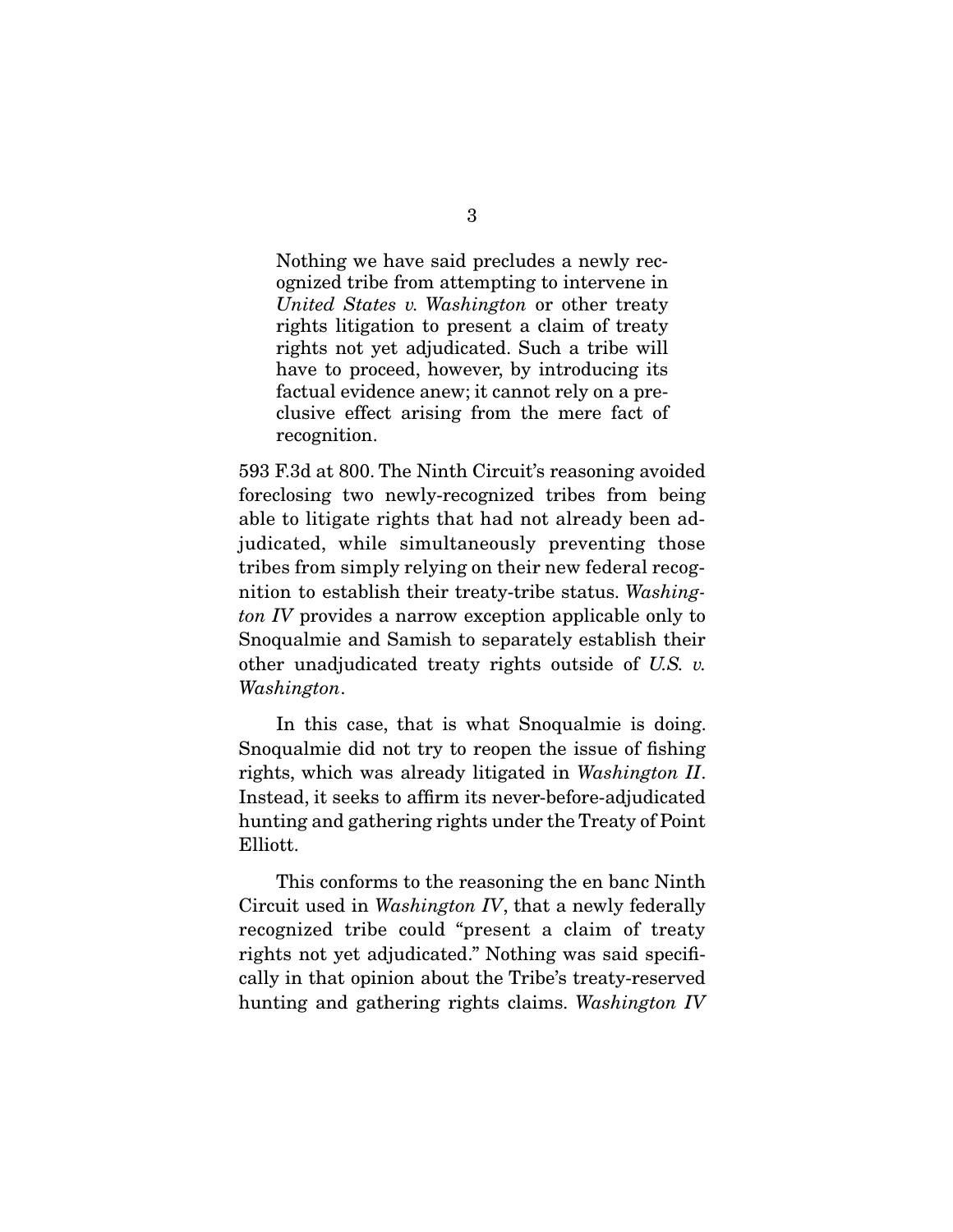Nothing we have said precludes a newly recognized tribe from attempting to intervene in United States v. Washington or other treaty rights litigation to present a claim of treaty rights not yet adjudicated. Such a tribe will have to proceed, however, by introducing its factual evidence anew; it cannot rely on a preclusive effect arising from the mere fact of recognition.

593 F.3d at 800. The Ninth Circuit's reasoning avoided foreclosing two newly-recognized tribes from being able to litigate rights that had not already been adjudicated, while simultaneously preventing those tribes from simply relying on their new federal recognition to establish their treaty-tribe status. Washington IV provides a narrow exception applicable only to Snoqualmie and Samish to separately establish their other unadjudicated treaty rights outside of U.S. v. Washington.

 In this case, that is what Snoqualmie is doing. Snoqualmie did not try to reopen the issue of fishing rights, which was already litigated in Washington II. Instead, it seeks to affirm its never-before-adjudicated hunting and gathering rights under the Treaty of Point Elliott.

 This conforms to the reasoning the en banc Ninth Circuit used in Washington IV, that a newly federally recognized tribe could "present a claim of treaty rights not yet adjudicated." Nothing was said specifically in that opinion about the Tribe's treaty-reserved hunting and gathering rights claims. Washington IV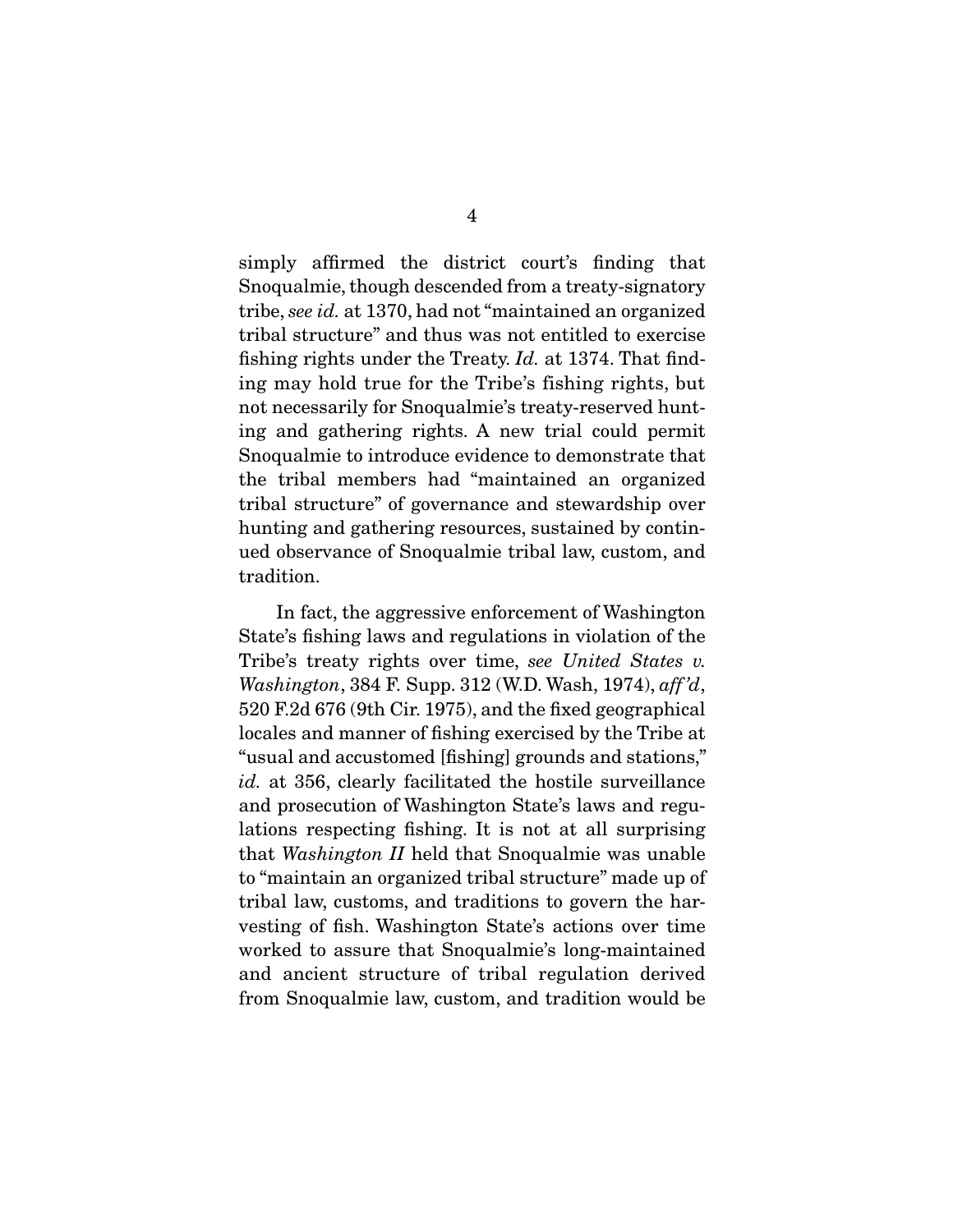simply affirmed the district court's finding that Snoqualmie, though descended from a treaty-signatory tribe, see id. at 1370, had not "maintained an organized tribal structure" and thus was not entitled to exercise fishing rights under the Treaty. Id. at 1374. That finding may hold true for the Tribe's fishing rights, but not necessarily for Snoqualmie's treaty-reserved hunting and gathering rights. A new trial could permit Snoqualmie to introduce evidence to demonstrate that the tribal members had "maintained an organized tribal structure" of governance and stewardship over hunting and gathering resources, sustained by continued observance of Snoqualmie tribal law, custom, and tradition.

 In fact, the aggressive enforcement of Washington State's fishing laws and regulations in violation of the Tribe's treaty rights over time, see United States v. Washington, 384 F. Supp. 312 (W.D. Wash, 1974), aff 'd, 520 F.2d 676 (9th Cir. 1975), and the fixed geographical locales and manner of fishing exercised by the Tribe at "usual and accustomed [fishing] grounds and stations," id. at 356, clearly facilitated the hostile surveillance and prosecution of Washington State's laws and regulations respecting fishing. It is not at all surprising that Washington II held that Snoqualmie was unable to "maintain an organized tribal structure" made up of tribal law, customs, and traditions to govern the harvesting of fish. Washington State's actions over time worked to assure that Snoqualmie's long-maintained and ancient structure of tribal regulation derived from Snoqualmie law, custom, and tradition would be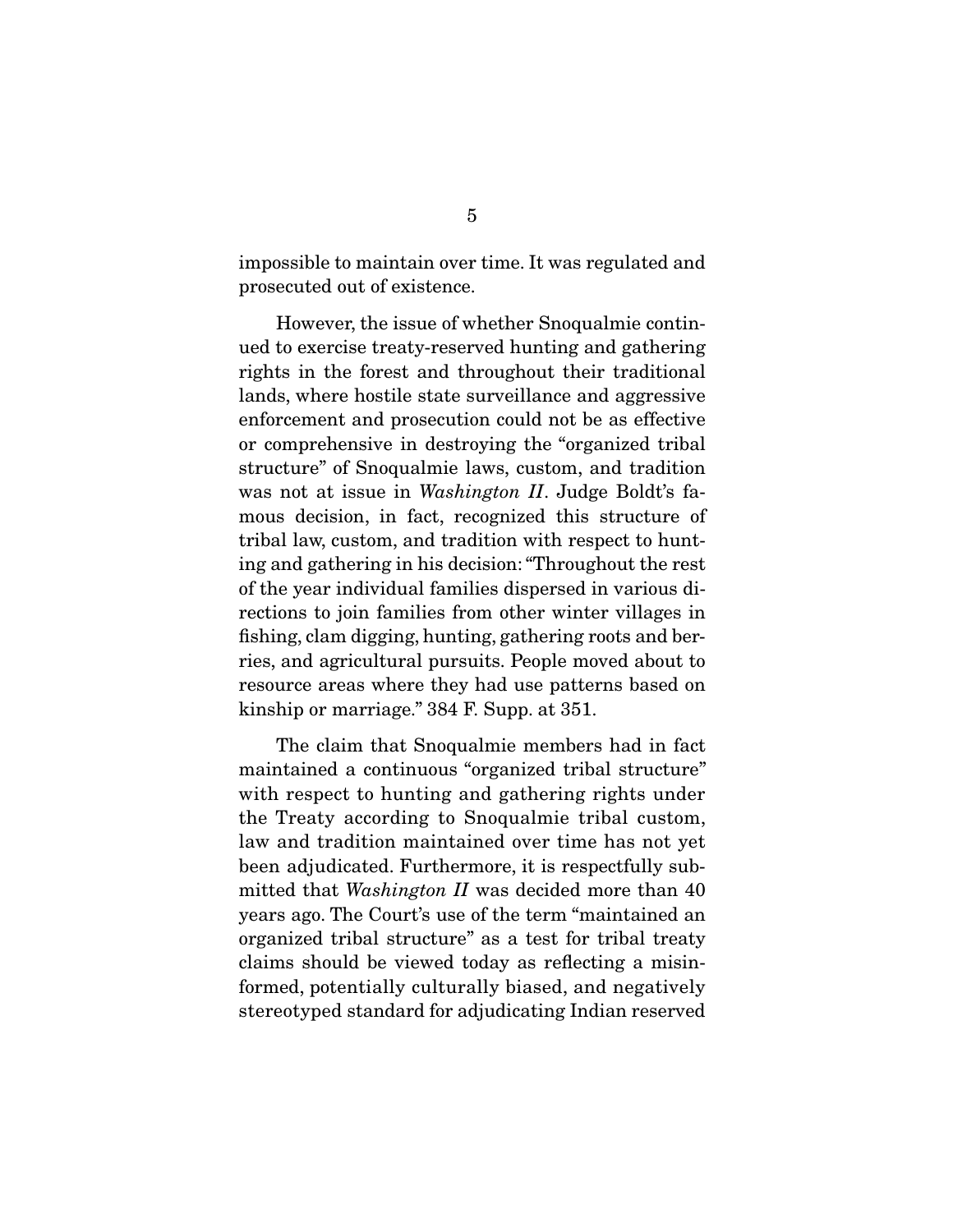impossible to maintain over time. It was regulated and prosecuted out of existence.

 However, the issue of whether Snoqualmie continued to exercise treaty-reserved hunting and gathering rights in the forest and throughout their traditional lands, where hostile state surveillance and aggressive enforcement and prosecution could not be as effective or comprehensive in destroying the "organized tribal structure" of Snoqualmie laws, custom, and tradition was not at issue in *Washington II*. Judge Boldt's famous decision, in fact, recognized this structure of tribal law, custom, and tradition with respect to hunting and gathering in his decision: "Throughout the rest of the year individual families dispersed in various directions to join families from other winter villages in fishing, clam digging, hunting, gathering roots and berries, and agricultural pursuits. People moved about to resource areas where they had use patterns based on kinship or marriage." 384 F. Supp. at 351.

 The claim that Snoqualmie members had in fact maintained a continuous "organized tribal structure" with respect to hunting and gathering rights under the Treaty according to Snoqualmie tribal custom, law and tradition maintained over time has not yet been adjudicated. Furthermore, it is respectfully submitted that Washington II was decided more than 40 years ago. The Court's use of the term "maintained an organized tribal structure" as a test for tribal treaty claims should be viewed today as reflecting a misinformed, potentially culturally biased, and negatively stereotyped standard for adjudicating Indian reserved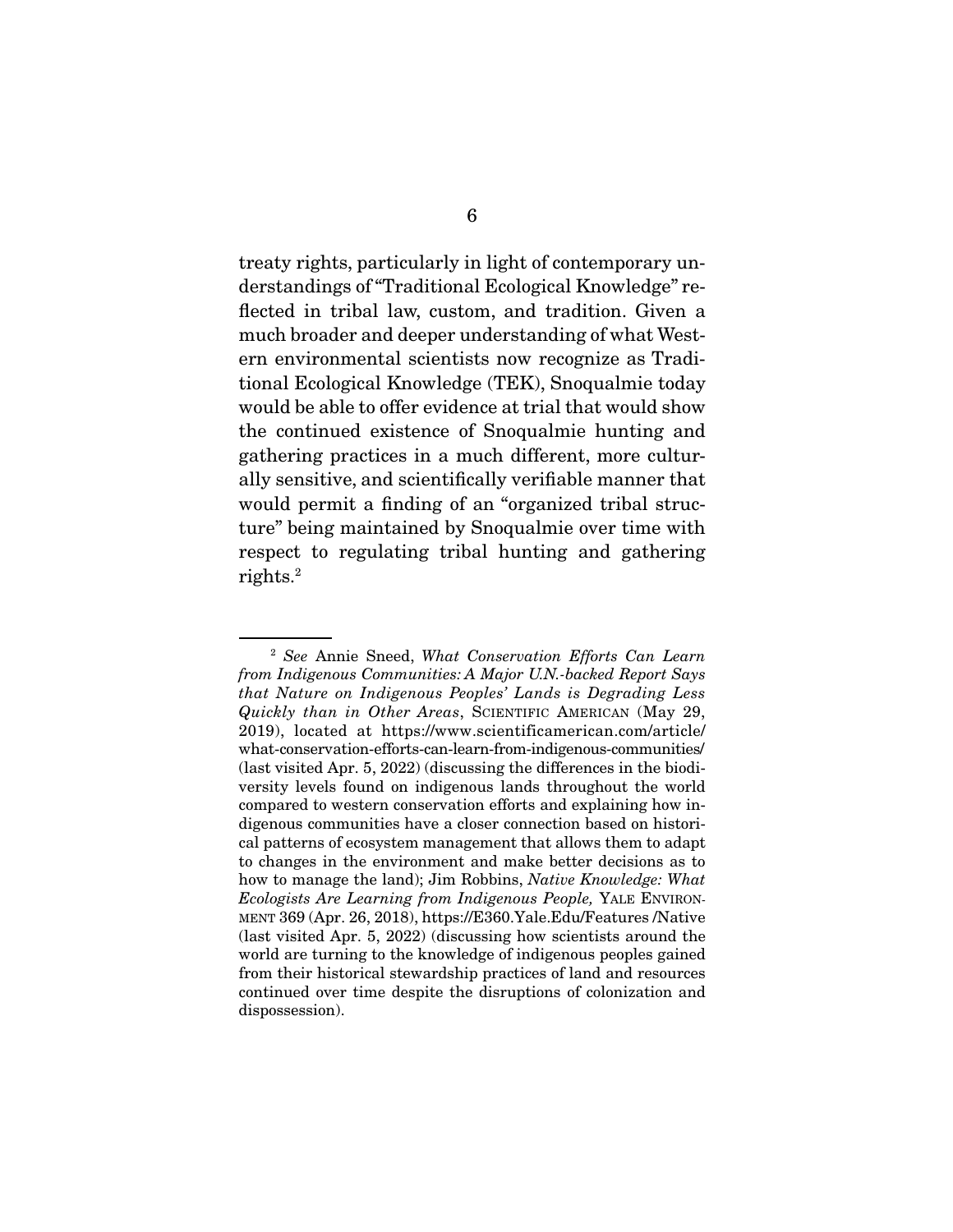treaty rights, particularly in light of contemporary understandings of "Traditional Ecological Knowledge" reflected in tribal law, custom, and tradition. Given a much broader and deeper understanding of what Western environmental scientists now recognize as Traditional Ecological Knowledge (TEK), Snoqualmie today would be able to offer evidence at trial that would show the continued existence of Snoqualmie hunting and gathering practices in a much different, more culturally sensitive, and scientifically verifiable manner that would permit a finding of an "organized tribal structure" being maintained by Snoqualmie over time with respect to regulating tribal hunting and gathering rights.2

<sup>2</sup> See Annie Sneed, What Conservation Efforts Can Learn from Indigenous Communities: A Major U.N.-backed Report Says that Nature on Indigenous Peoples' Lands is Degrading Less Quickly than in Other Areas, SCIENTIFIC AMERICAN (May 29, 2019), located at https://www.scientificamerican.com/article/ what-conservation-efforts-can-learn-from-indigenous-communities/ (last visited Apr. 5, 2022) (discussing the differences in the biodiversity levels found on indigenous lands throughout the world compared to western conservation efforts and explaining how indigenous communities have a closer connection based on historical patterns of ecosystem management that allows them to adapt to changes in the environment and make better decisions as to how to manage the land); Jim Robbins, Native Knowledge: What Ecologists Are Learning from Indigenous People, YALE ENVIRON-MENT 369 (Apr. 26, 2018), https://E360.Yale.Edu/Features /Native (last visited Apr. 5, 2022) (discussing how scientists around the world are turning to the knowledge of indigenous peoples gained from their historical stewardship practices of land and resources continued over time despite the disruptions of colonization and dispossession).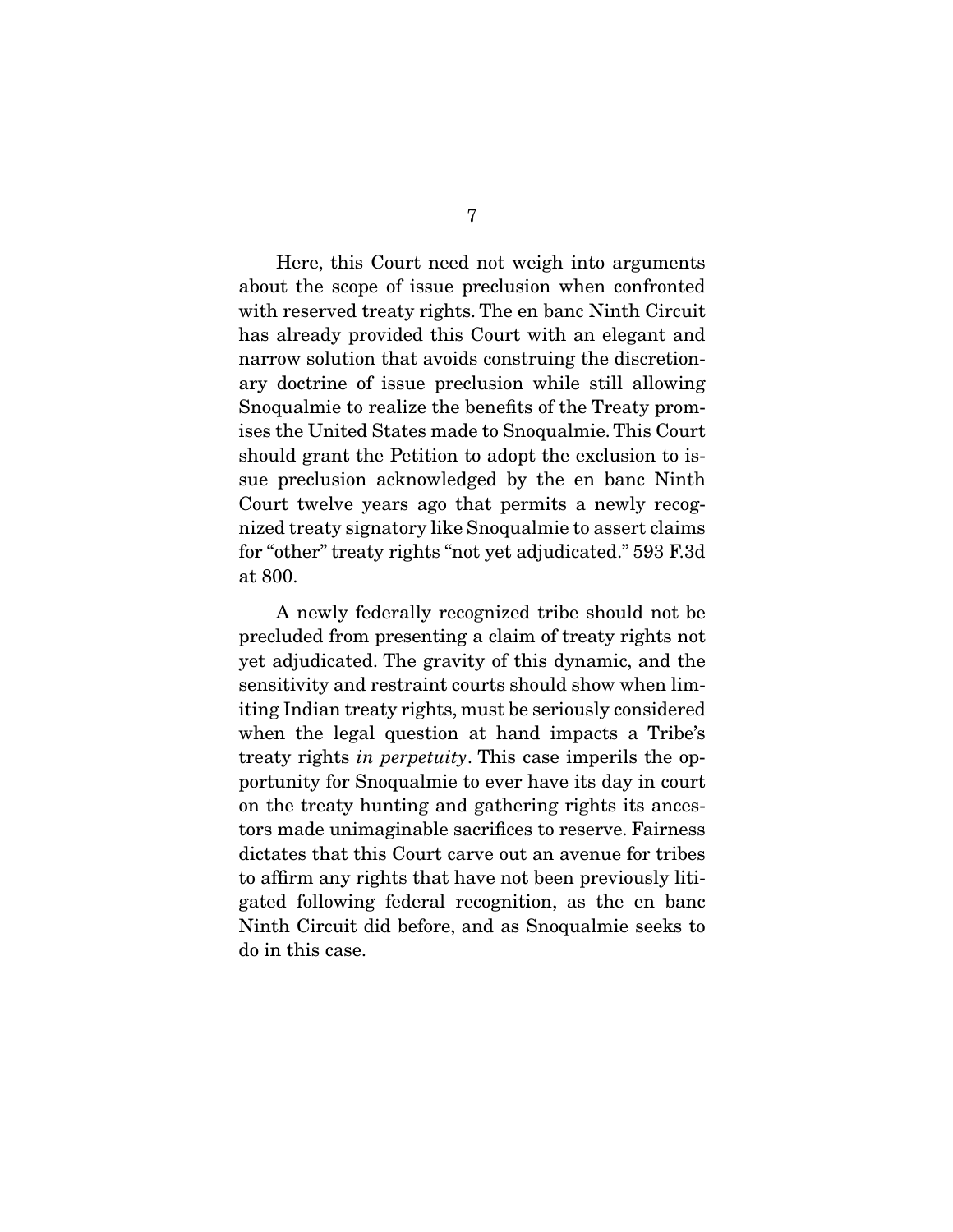Here, this Court need not weigh into arguments about the scope of issue preclusion when confronted with reserved treaty rights. The en banc Ninth Circuit has already provided this Court with an elegant and narrow solution that avoids construing the discretionary doctrine of issue preclusion while still allowing Snoqualmie to realize the benefits of the Treaty promises the United States made to Snoqualmie. This Court should grant the Petition to adopt the exclusion to issue preclusion acknowledged by the en banc Ninth Court twelve years ago that permits a newly recognized treaty signatory like Snoqualmie to assert claims for "other" treaty rights "not yet adjudicated." 593 F.3d at 800.

 A newly federally recognized tribe should not be precluded from presenting a claim of treaty rights not yet adjudicated. The gravity of this dynamic, and the sensitivity and restraint courts should show when limiting Indian treaty rights, must be seriously considered when the legal question at hand impacts a Tribe's treaty rights in perpetuity. This case imperils the opportunity for Snoqualmie to ever have its day in court on the treaty hunting and gathering rights its ancestors made unimaginable sacrifices to reserve. Fairness dictates that this Court carve out an avenue for tribes to affirm any rights that have not been previously litigated following federal recognition, as the en banc Ninth Circuit did before, and as Snoqualmie seeks to do in this case.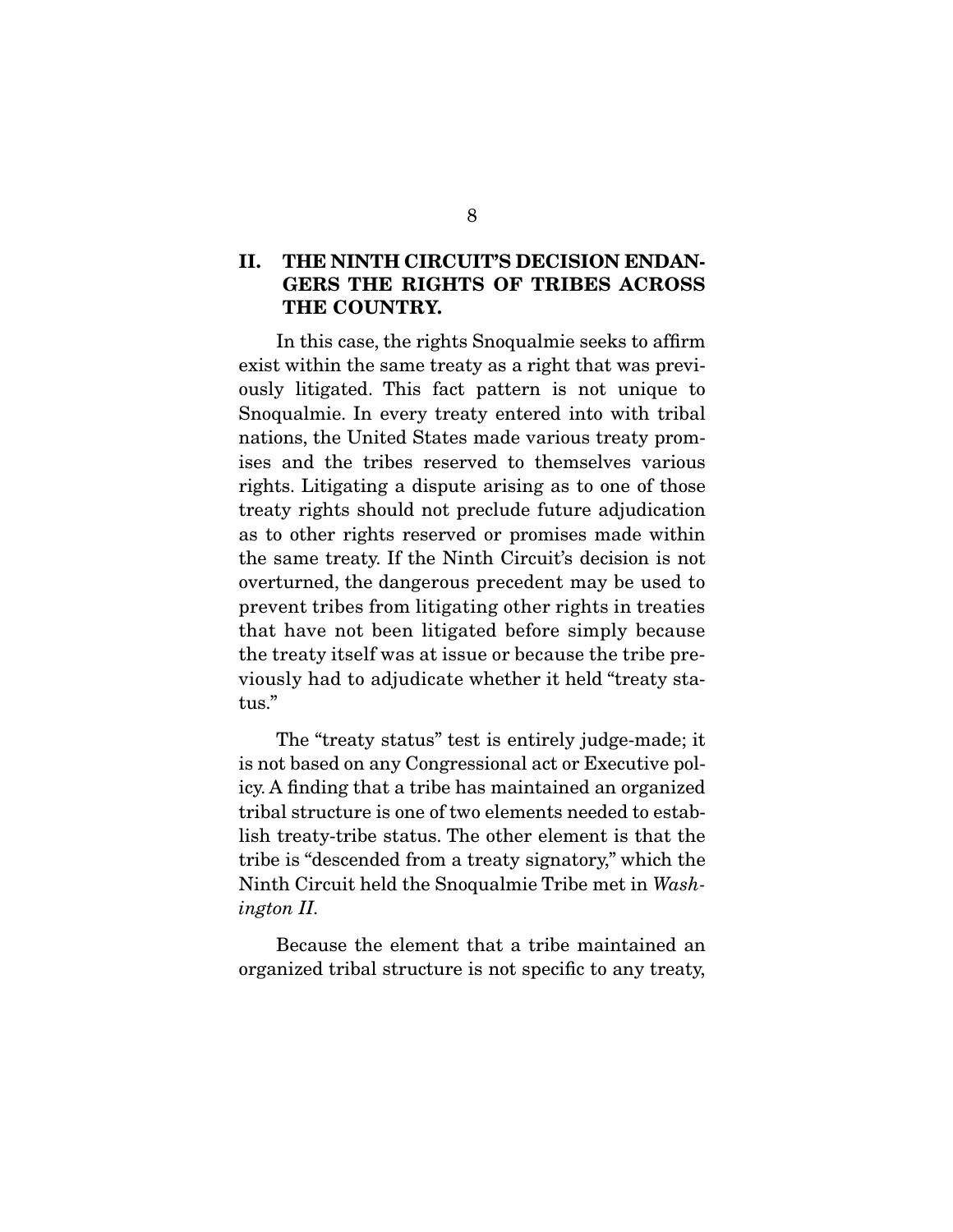### **II. THE NINTH CIRCUIT'S DECISION ENDAN-GERS THE RIGHTS OF TRIBES ACROSS THE COUNTRY.**

 In this case, the rights Snoqualmie seeks to affirm exist within the same treaty as a right that was previously litigated. This fact pattern is not unique to Snoqualmie. In every treaty entered into with tribal nations, the United States made various treaty promises and the tribes reserved to themselves various rights. Litigating a dispute arising as to one of those treaty rights should not preclude future adjudication as to other rights reserved or promises made within the same treaty. If the Ninth Circuit's decision is not overturned, the dangerous precedent may be used to prevent tribes from litigating other rights in treaties that have not been litigated before simply because the treaty itself was at issue or because the tribe previously had to adjudicate whether it held "treaty status."

 The "treaty status" test is entirely judge-made; it is not based on any Congressional act or Executive policy. A finding that a tribe has maintained an organized tribal structure is one of two elements needed to establish treaty-tribe status. The other element is that the tribe is "descended from a treaty signatory," which the Ninth Circuit held the Snoqualmie Tribe met in Washington II.

 Because the element that a tribe maintained an organized tribal structure is not specific to any treaty,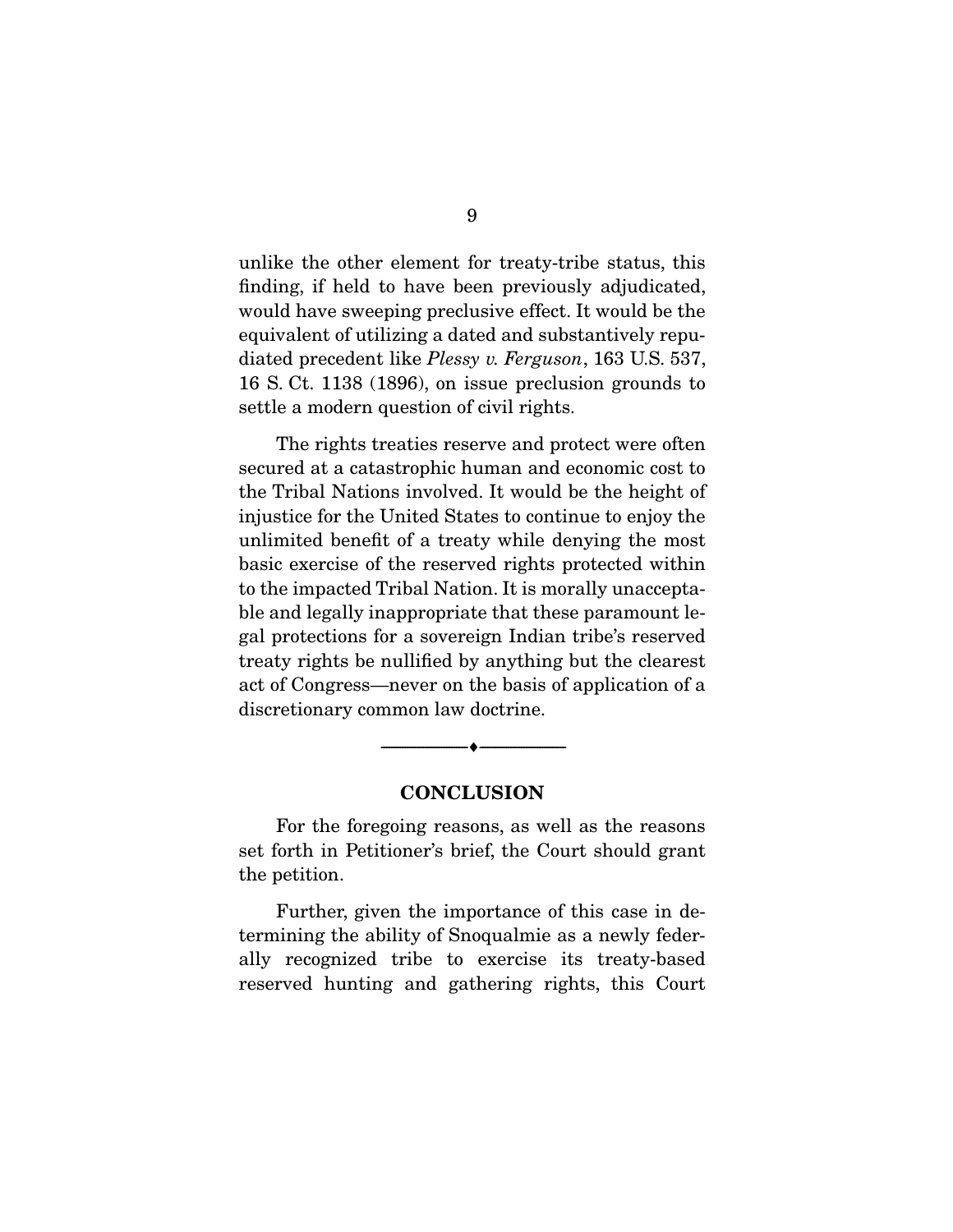unlike the other element for treaty-tribe status, this finding, if held to have been previously adjudicated, would have sweeping preclusive effect. It would be the equivalent of utilizing a dated and substantively repudiated precedent like *Plessy v. Ferguson*, 163 U.S. 537, 16 S. Ct. 1138 (1896), on issue preclusion grounds to settle a modern question of civil rights.

 The rights treaties reserve and protect were often secured at a catastrophic human and economic cost to the Tribal Nations involved. It would be the height of injustice for the United States to continue to enjoy the unlimited benefit of a treaty while denying the most basic exercise of the reserved rights protected within to the impacted Tribal Nation. It is morally unacceptable and legally inappropriate that these paramount legal protections for a sovereign Indian tribe's reserved treaty rights be nullified by anything but the clearest act of Congress—never on the basis of application of a discretionary common law doctrine.

#### **CONCLUSION**

--------------------------------- ♦ ---------------------------------

 For the foregoing reasons, as well as the reasons set forth in Petitioner's brief, the Court should grant the petition.

 Further, given the importance of this case in determining the ability of Snoqualmie as a newly federally recognized tribe to exercise its treaty-based reserved hunting and gathering rights, this Court